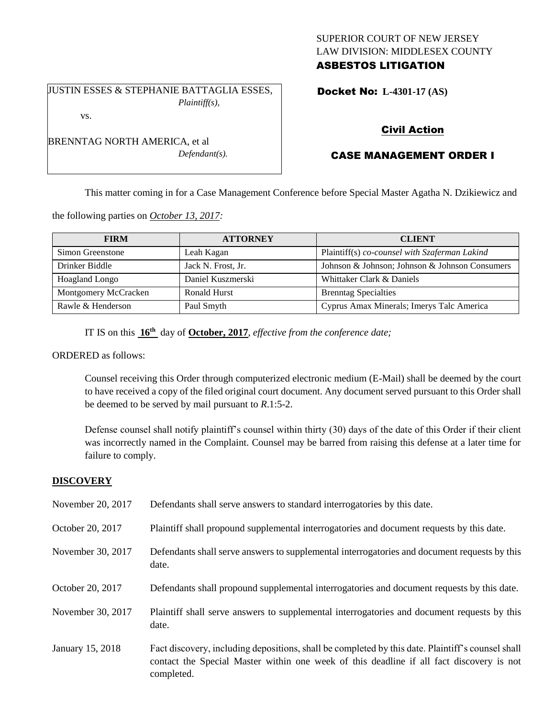## SUPERIOR COURT OF NEW JERSEY LAW DIVISION: MIDDLESEX COUNTY ASBESTOS LITIGATION

JUSTIN ESSES & STEPHANIE BATTAGLIA ESSES, *Plaintiff(s),* vs.

BRENNTAG NORTH AMERICA, et al

*Defendant(s).*

Docket No: **L-4301-17 (AS)** 

# Civil Action

# CASE MANAGEMENT ORDER I

This matter coming in for a Case Management Conference before Special Master Agatha N. Dzikiewicz and

the following parties on *October 13, 2017:*

| <b>FIRM</b>          | <b>ATTORNEY</b>    | <b>CLIENT</b>                                  |
|----------------------|--------------------|------------------------------------------------|
| Simon Greenstone     | Leah Kagan         | Plaintiff(s) co-counsel with Szaferman Lakind  |
| Drinker Biddle       | Jack N. Frost, Jr. | Johnson & Johnson; Johnson & Johnson Consumers |
| Hoagland Longo       | Daniel Kuszmerski  | Whittaker Clark & Daniels                      |
| Montgomery McCracken | Ronald Hurst       | <b>Brenntag Specialties</b>                    |
| Rawle & Henderson    | Paul Smyth         | Cyprus Amax Minerals; Imerys Talc America      |

IT IS on this **16th** day of **October, 2017**, *effective from the conference date;*

ORDERED as follows:

Counsel receiving this Order through computerized electronic medium (E-Mail) shall be deemed by the court to have received a copy of the filed original court document. Any document served pursuant to this Order shall be deemed to be served by mail pursuant to *R*.1:5-2.

Defense counsel shall notify plaintiff's counsel within thirty (30) days of the date of this Order if their client was incorrectly named in the Complaint. Counsel may be barred from raising this defense at a later time for failure to comply.

## **DISCOVERY**

| November 20, 2017 | Defendants shall serve answers to standard interrogatories by this date.                                                                                                                                    |
|-------------------|-------------------------------------------------------------------------------------------------------------------------------------------------------------------------------------------------------------|
| October 20, 2017  | Plaintiff shall propound supplemental interrogatories and document requests by this date.                                                                                                                   |
| November 30, 2017 | Defendants shall serve answers to supplemental interrogatories and document requests by this<br>date.                                                                                                       |
| October 20, 2017  | Defendants shall propound supplemental interrogatories and document requests by this date.                                                                                                                  |
| November 30, 2017 | Plaintiff shall serve answers to supplemental interrogatories and document requests by this<br>date.                                                                                                        |
| January 15, 2018  | Fact discovery, including depositions, shall be completed by this date. Plaintiff's counsel shall<br>contact the Special Master within one week of this deadline if all fact discovery is not<br>completed. |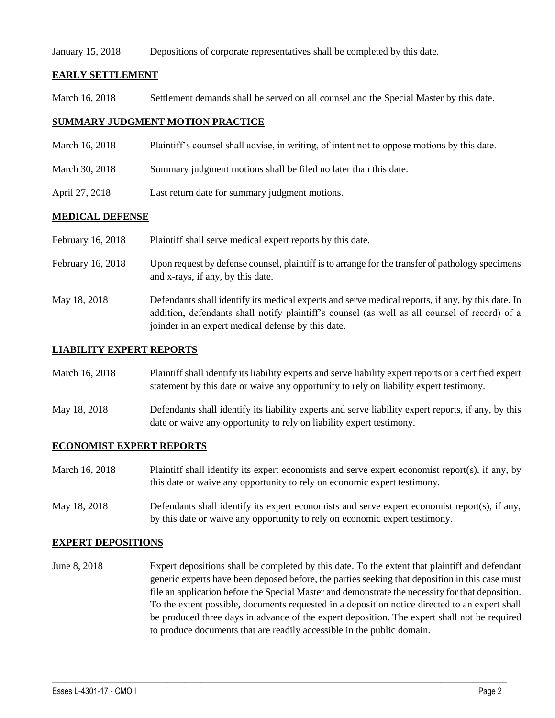### January 15, 2018 Depositions of corporate representatives shall be completed by this date.

### **EARLY SETTLEMENT**

March 16, 2018 Settlement demands shall be served on all counsel and the Special Master by this date.

## **SUMMARY JUDGMENT MOTION PRACTICE**

- March 16, 2018 Plaintiff's counsel shall advise, in writing, of intent not to oppose motions by this date.
- March 30, 2018 Summary judgment motions shall be filed no later than this date.
- April 27, 2018 Last return date for summary judgment motions.

## **MEDICAL DEFENSE**

| February 16, 2018 | Plaintiff shall serve medical expert reports by this date.                                                                                                                                                                                               |
|-------------------|----------------------------------------------------------------------------------------------------------------------------------------------------------------------------------------------------------------------------------------------------------|
| February 16, 2018 | Upon request by defense counsel, plaintiff is to arrange for the transfer of pathology specimens<br>and x-rays, if any, by this date.                                                                                                                    |
| May 18, 2018      | Defendants shall identify its medical experts and serve medical reports, if any, by this date. In<br>addition, defendants shall notify plaintiff's counsel (as well as all counsel of record) of a<br>joinder in an expert medical defense by this date. |

### **LIABILITY EXPERT REPORTS**

| March 16, 2018 | Plaintiff shall identify its liability experts and serve liability expert reports or a certified expert |
|----------------|---------------------------------------------------------------------------------------------------------|
|                | statement by this date or waive any opportunity to rely on liability expert testimony.                  |

May 18, 2018 Defendants shall identify its liability experts and serve liability expert reports, if any, by this date or waive any opportunity to rely on liability expert testimony.

### **ECONOMIST EXPERT REPORTS**

| March 16, 2018 | Plaintiff shall identify its expert economists and serve expert economist report(s), if any, by |
|----------------|-------------------------------------------------------------------------------------------------|
|                | this date or waive any opportunity to rely on economic expert testimony.                        |

May 18, 2018 Defendants shall identify its expert economists and serve expert economist report(s), if any, by this date or waive any opportunity to rely on economic expert testimony.

### **EXPERT DEPOSITIONS**

June 8, 2018 Expert depositions shall be completed by this date. To the extent that plaintiff and defendant generic experts have been deposed before, the parties seeking that deposition in this case must file an application before the Special Master and demonstrate the necessity for that deposition. To the extent possible, documents requested in a deposition notice directed to an expert shall be produced three days in advance of the expert deposition. The expert shall not be required to produce documents that are readily accessible in the public domain.

 $\_$  ,  $\_$  ,  $\_$  ,  $\_$  ,  $\_$  ,  $\_$  ,  $\_$  ,  $\_$  ,  $\_$  ,  $\_$  ,  $\_$  ,  $\_$  ,  $\_$  ,  $\_$  ,  $\_$  ,  $\_$  ,  $\_$  ,  $\_$  ,  $\_$  ,  $\_$  ,  $\_$  ,  $\_$  ,  $\_$  ,  $\_$  ,  $\_$  ,  $\_$  ,  $\_$  ,  $\_$  ,  $\_$  ,  $\_$  ,  $\_$  ,  $\_$  ,  $\_$  ,  $\_$  ,  $\_$  ,  $\_$  ,  $\_$  ,